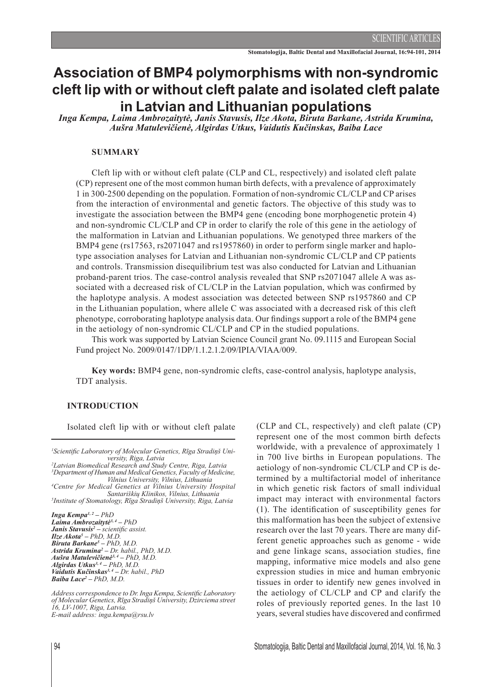# **Association of BMP4 polymorphisms with non-syndromic cleft lip with or without cleft palate and isolated cleft palate in Latvian and Lithuanian populations**

*Inga Kempa, Laima Ambrozaitytė, Janis Stavusis, Ilze Akota, Biruta Barkane, Astrida Krumina, Aušra Matulevičienė, Algirdas Utkus, Vaidutis Kučinskas, Baiba Lace*

## **Summary**

Cleft lip with or without cleft palate (CLP and CL, respectively) and isolated cleft palate (CP) represent one of the most common human birth defects, with a prevalence of approximately 1 in 300-2500 depending on the population. Formation of non-syndromic CL/CLP and CP arises from the interaction of environmental and genetic factors. The objective of this study was to investigate the association between the BMP4 gene (encoding bone morphogenetic protein 4) and non-syndromic CL/CLP and CP in order to clarify the role of this gene in the aetiology of the malformation in Latvian and Lithuanian populations. We genotyped three markers of the BMP4 gene (rs17563, rs2071047 and rs1957860) in order to perform single marker and haplotype association analyses for Latvian and Lithuanian non-syndromic CL/CLP and CP patients and controls. Transmission disequilibrium test was also conducted for Latvian and Lithuanian proband-parent trios. The case-control analysis revealed that SNP rs2071047 allele A was associated with a decreased risk of CL/CLP in the Latvian population, which was confirmed by the haplotype analysis. A modest association was detected between SNP rs1957860 and CP in the Lithuanian population, where allele C was associated with a decreased risk of this cleft phenotype, corroborating haplotype analysis data. Our findings support a role of the BMP4 gene in the aetiology of non-syndromic CL/CLP and CP in the studied populations.

This work was supported by Latvian Science Council grant No. 09.1115 and European Social Fund project No. 2009/0147/1DP/1.1.2.1.2/09/IPIA/VIAA/009.

**Key words:** BMP4 gene, non-syndromic clefts, case-control analysis, haplotype analysis, TDT analysis.

### **INTRODUCTION**

Isolated cleft lip with or without cleft palate (CLP and CL, respectively) and cleft palate (CP)

*1 Scientific Laboratory of Molecular Genetics, Rīga Stradiņš University, Riga, Latvia <sup>2</sup> Latvian Biomedical Research and Study Centre, Riga, Latvia 3 Department of Human and Medical Genetics, Faculty of Medicine, Vilnius University, Vilnius, Lithuania <sup>4</sup> Centre for Medical Genetics at Vilnius University Hospital Santariškių Klinikos, Vilnius, Lithuania <sup>5</sup> Institute of Stomatology, Rīga Stradiņš University, Riga, Latvia*

*Inga Kempa1, 2 – PhD Laima Ambrozaitytė3, 4 – PhD Janis Stavusis2 – scientific assist. Ilze Akota5 – PhD, M.D. Biruta Barkane5 – PhD, M.D. Astrida Krumina2 – Dr. habil., PhD, M.D. Aušra Matulevičienė3, 4 – PhD, M.D. Algirdas Utkus3, 4 – PhD, M.D. Vaidutis Kučinskas3, 4 – Dr. habil., PhD Baiba Lace2 – PhD, M.D.*

*Address correspondence to Dr. Inga Kempa, Scientific Laboratory of Molecular Genetics, Rīga Stradiņš University, Dzirciema street 16, LV-1007, Riga, Latvia. E-mail address: inga.kempa@rsu.lv*

represent one of the most common birth defects worldwide, with a prevalence of approximately 1 in 700 live births in European populations. The aetiology of non-syndromic CL/CLP and CP is determined by a multifactorial model of inheritance in which genetic risk factors of small individual impact may interact with environmental factors (1). The identification of susceptibility genes for this malformation has been the subject of extensive research over the last 70 years. There are many different genetic approaches such as genome - wide and gene linkage scans, association studies, fine mapping, informative mice models and also gene expression studies in mice and human embryonic tissues in order to identify new genes involved in the aetiology of CL/CLP and CP and clarify the roles of previously reported genes. In the last 10 years, several studies have discovered and confirmed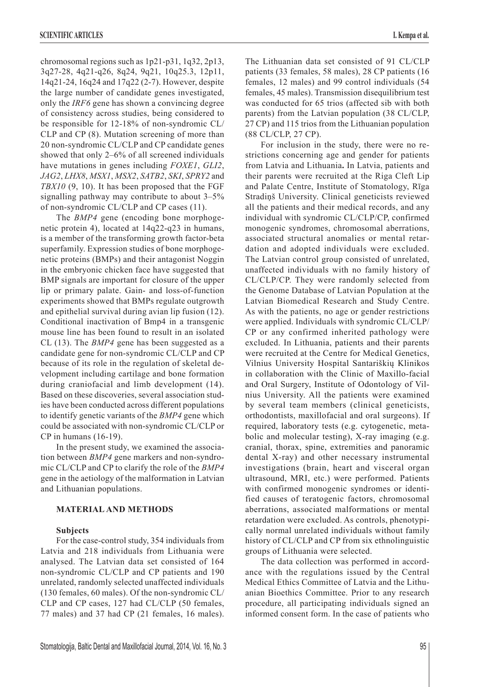chromosomal regions such as 1p21-p31, 1q32, 2p13, 3q27-28, 4q21-q26, 8q24, 9q21, 10q25.3, 12p11, 14q21-24, 16q24 and 17q22 (2-7). However, despite the large number of candidate genes investigated, only the *IRF6* gene has shown a convincing degree of consistency across studies, being considered to be responsible for 12-18% of non-syndromic CL/ CLP and CP (8). Mutation screening of more than 20 non-syndromic CL/CLP and CP candidate genes showed that only 2–6% of all screened individuals have mutations in genes including *FOXE1*, *GLI2*, *JAG2*, *LHX8*, *MSX1*, *MSX2*, *SATB2*, *SKI*, *SPRY2* and *TBX10* (9, 10). It has been proposed that the FGF signalling pathway may contribute to about 3–5% of non-syndromic CL/CLP and CP cases (11).

The *BMP4* gene (encoding bone morphogenetic protein 4), located at 14q22-q23 in humans, is a member of the transforming growth factor-beta superfamily. Expression studies of bone morphogenetic proteins (BMPs) and their antagonist Noggin in the embryonic chicken face have suggested that BMP signals are important for closure of the upper lip or primary palate. Gain- and loss-of-function experiments showed that BMPs regulate outgrowth and epithelial survival during avian lip fusion (12). Conditional inactivation of Bmp4 in a transgenic mouse line has been found to result in an isolated CL (13). The *BMP4* gene has been suggested as a candidate gene for non-syndromic CL/CLP and CP because of its role in the regulation of skeletal development including cartilage and bone formation during craniofacial and limb development (14). Based on these discoveries, several association studies have been conducted across different populations to identify genetic variants of the *BMP4* gene which could be associated with non-syndromic CL/CLP or CP in humans (16-19).

In the present study, we examined the association between *BMP4* gene markers and non-syndromic CL/CLP and CP to clarify the role of the *BMP4* gene in the aetiology of the malformation in Latvian and Lithuanian populations.

## **MATERIAL AND METHODS**

## **Subjects**

For the case-control study, 354 individuals from Latvia and 218 individuals from Lithuania were analysed. The Latvian data set consisted of 164 non-syndromic CL/CLP and CP patients and 190 unrelated, randomly selected unaffected individuals (130 females, 60 males). Of the non-syndromic CL/ CLP and CP cases, 127 had CL/CLP (50 females, 77 males) and 37 had CP (21 females, 16 males). The Lithuanian data set consisted of 91 CL/CLP patients (33 females, 58 males), 28 CP patients (16 females, 12 males) and 99 control individuals (54 females, 45 males). Transmission disequilibrium test was conducted for 65 trios (affected sib with both parents) from the Latvian population (38 CL/CLP, 27 CP) and 115 trios from the Lithuanian population (88 CL/CLP, 27 CP).

For inclusion in the study, there were no restrictions concerning age and gender for patients from Latvia and Lithuania**.** In Latvia, patients and their parents were recruited at the Riga Cleft Lip and Palate Centre, Institute of Stomatology, Rīga Stradiņš University. Clinical geneticists reviewed all the patients and their medical records, and any individual with syndromic CL/CLP/CP, confirmed monogenic syndromes, chromosomal aberrations, associated structural anomalies or mental retardation and adopted individuals were excluded. The Latvian control group consisted of unrelated, unaffected individuals with no family history of CL/CLP/CP. They were randomly selected from the Genome Database of Latvian Population at the Latvian Biomedical Research and Study Centre. As with the patients, no age or gender restrictions were applied. Individuals with syndromic CL/CLP/ CP or any confirmed inherited pathology were excluded. In Lithuania, patients and their parents were recruited at the Centre for Medical Genetics, Vilnius University Hospital Santariškių Klinikos in collaboration with the Clinic of Maxillo-facial and Oral Surgery, Institute of Odontology of Vilnius University. All the patients were examined by several team members (clinical geneticists, orthodontists, maxillofacial and oral surgeons). If required, laboratory tests (e.g. cytogenetic, metabolic and molecular testing), X-ray imaging (e.g. cranial, thorax, spine, extremities and panoramic dental X-ray) and other necessary instrumental investigations (brain, heart and visceral organ ultrasound, MRI, etc.) were performed. Patients with confirmed monogenic syndromes or identified causes of teratogenic factors, chromosomal aberrations, associated malformations or mental retardation were excluded. As controls, phenotypically normal unrelated individuals without family history of CL/CLP and CP from six ethnolinguistic groups of Lithuania were selected.

The data collection was performed in accordance with the regulations issued by the Central Medical Ethics Committee of Latvia and the Lithuanian Bioethics Committee. Prior to any research procedure, all participating individuals signed an informed consent form. In the case of patients who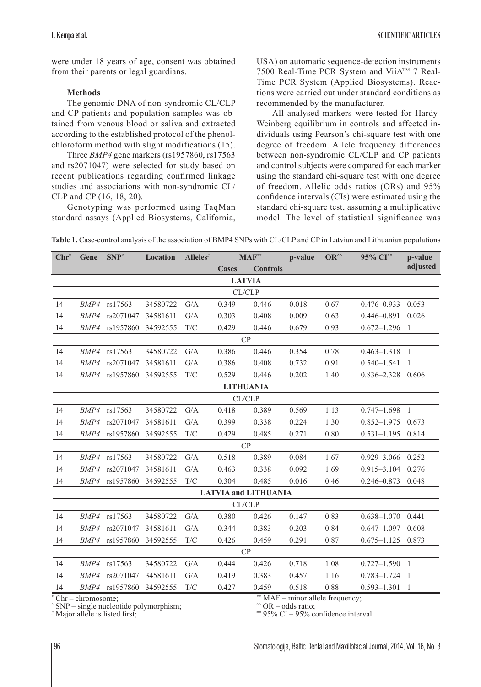were under 18 years of age, consent was obtained from their parents or legal guardians.

# **Methods**

The genomic DNA of non-syndromic CL/CLP and CP patients and population samples was obtained from venous blood or saliva and extracted according to the established protocol of the phenolchloroform method with slight modifications (15).

Three *BMP4* gene markers (rs1957860, rs17563 and rs2071047) were selected for study based on recent publications regarding confirmed linkage studies and associations with non-syndromic CL/ CLP and CP (16, 18, 20).

Genotyping was performed using TaqMan standard assays (Applied Biosystems, California, USA) on automatic sequence-detection instruments 7500 Real-Time PCR System and ViiA™ 7 Real-Time PCR System (Applied Biosystems). Reactions were carried out under standard conditions as recommended by the manufacturer.

All analysed markers were tested for Hardy-Weinberg equilibrium in controls and affected individuals using Pearson's chi-square test with one degree of freedom. Allele frequency differences between non-syndromic CL/CLP and CP patients and control subjects were compared for each marker using the standard chi-square test with one degree of freedom. Allelic odds ratios (ORs) and 95% confidence intervals (CIs) were estimated using the standard chi-square test, assuming a multiplicative model. The level of statistical significance was

**Table 1.** Case-control analysis of the association of BMP4 SNPs with CL/CLP and CP in Latvian and Lithuanian populations

| $Chr^*$                                                 | Gene        | $SNP^*$               | Location | Alleles# | $MAF^{**}$                      |       | p-value | $OR^{\wedge\wedge}$ | 95% CI##          | p-value  |  |  |
|---------------------------------------------------------|-------------|-----------------------|----------|----------|---------------------------------|-------|---------|---------------------|-------------------|----------|--|--|
|                                                         |             |                       |          |          | <b>Controls</b><br><b>Cases</b> |       |         |                     |                   | adjusted |  |  |
| <b>LATVIA</b>                                           |             |                       |          |          |                                 |       |         |                     |                   |          |  |  |
| CL/CLP                                                  |             |                       |          |          |                                 |       |         |                     |                   |          |  |  |
| 14                                                      |             | BMP4 rs17563          | 34580722 | G/A      | 0.349                           | 0.446 | 0.018   | 0.67                | $0.476 - 0.933$   | 0.053    |  |  |
| 14                                                      | <i>BMP4</i> | rs2071047             | 34581611 | G/A      | 0.303                           | 0.408 | 0.009   | 0.63                | $0.446 - 0.891$   | 0.026    |  |  |
| 14                                                      |             | <i>BMP4</i> rs1957860 | 34592555 | T/C      | 0.429                           | 0.446 | 0.679   | 0.93                | $0.672 - 1.296$   | -1       |  |  |
| CP                                                      |             |                       |          |          |                                 |       |         |                     |                   |          |  |  |
| 14                                                      |             | BMP4 rs17563          | 34580722 | G/A      | 0.386                           | 0.446 | 0.354   | 0.78                | $0.463 - 1.318$ 1 |          |  |  |
| 14                                                      | <i>BMP4</i> | rs2071047             | 34581611 | G/A      | 0.386                           | 0.408 | 0.732   | 0.91                | $0.540 - 1.541$   | -1       |  |  |
| 14                                                      |             | <i>BMP4</i> rs1957860 | 34592555 | T/C      | 0.529                           | 0.446 | 0.202   | 1.40                | 0.836-2.328 0.606 |          |  |  |
| <b>LITHUANIA</b>                                        |             |                       |          |          |                                 |       |         |                     |                   |          |  |  |
| CL/CLP                                                  |             |                       |          |          |                                 |       |         |                     |                   |          |  |  |
| 14                                                      |             | BMP4 rs17563          | 34580722 | G/A      | 0.418                           | 0.389 | 0.569   | 1.13                | $0.747 - 1.698$ 1 |          |  |  |
| 14                                                      | BMP4        | rs2071047             | 34581611 | G/A      | 0.399                           | 0.338 | 0.224   | 1.30                | $0.852 - 1.975$   | 0.673    |  |  |
| 14                                                      | <i>BMP4</i> | rs1957860             | 34592555 | T/C      | 0.429                           | 0.485 | 0.271   | 0.80                | $0.531 - 1.195$   | 0.814    |  |  |
|                                                         |             |                       |          |          | CP                              |       |         |                     |                   |          |  |  |
| 14                                                      | BMP4        | rs17563               | 34580722 | G/A      | 0.518                           | 0.389 | 0.084   | 1.67                | $0.929 - 3.066$   | 0.252    |  |  |
| 14                                                      | <i>BMP4</i> | rs2071047             | 34581611 | G/A      | 0.463                           | 0.338 | 0.092   | 1.69                | $0.915 - 3.104$   | 0.276    |  |  |
| 14                                                      |             | BMP4 rs1957860        | 34592555 | T/C      | 0.304                           | 0.485 | 0.016   | 0.46                | $0.246 - 0.873$   | 0.048    |  |  |
| <b>LATVIA and LITHUANIA</b>                             |             |                       |          |          |                                 |       |         |                     |                   |          |  |  |
| CL/CLP                                                  |             |                       |          |          |                                 |       |         |                     |                   |          |  |  |
| 14                                                      |             | BMP4 rs17563          | 34580722 | G/A      | 0.380                           | 0.426 | 0.147   | 0.83                | $0.638 - 1.070$   | 0.441    |  |  |
| 14                                                      | <i>BMP4</i> | rs2071047             | 34581611 | G/A      | 0.344                           | 0.383 | 0.203   | 0.84                | $0.647 - 1.097$   | 0.608    |  |  |
| 14                                                      | BMP4        | rs1957860             | 34592555 | T/C      | 0.426                           | 0.459 | 0.291   | 0.87                | $0.675 - 1.125$   | 0.873    |  |  |
| CP                                                      |             |                       |          |          |                                 |       |         |                     |                   |          |  |  |
| 14                                                      |             | BMP4 rs17563          | 34580722 | G/A      | 0.444                           | 0.426 | 0.718   | 1.08                | $0.727 - 1.590$ 1 |          |  |  |
| 14                                                      |             | BMP4 rs2071047        | 34581611 | G/A      | 0.419                           | 0.383 | 0.457   | 1.16                | $0.783 - 1.724$ 1 |          |  |  |
| 14                                                      |             | BMP4 rs1957860        | 34592555 | T/C      | 0.427                           | 0.459 | 0.518   | 0.88                | $0.593 - 1.301$   | -1       |  |  |
| ** MAF – minor allele frequency;<br>$Chr - chromosome;$ |             |                       |          |          |                                 |       |         |                     |                   |          |  |  |

Chr – chromosome; ^ SNP – single nucleotide polymorphism;

# Major allele is listed first;

 $\degree$  OR – odds ratio;

 $# 95\%$  CI – 95% confidence interval.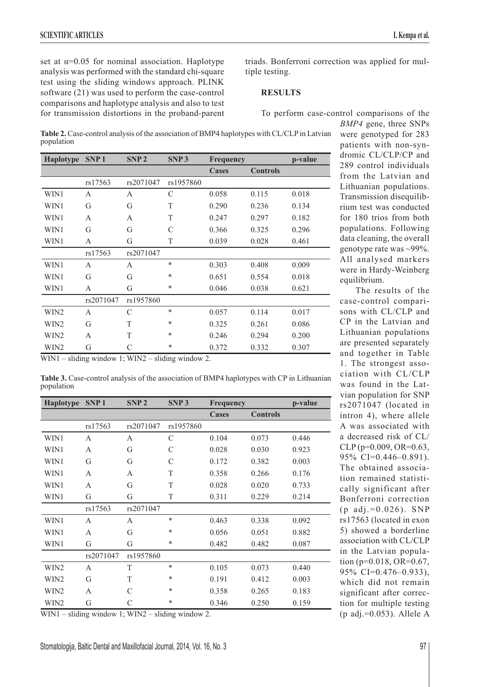set at  $\alpha$ =0.05 for nominal association. Haplotype analysis was performed with the standard chi-square test using the sliding windows approach. PLINK software (21) was used to perform the case-control comparisons and haplotype analysis and also to test for transmission distortions in the proband-parent triads. Bonferroni correction was applied for multiple testing.

# **RESULTS**

To perform case-control comparisons of the

Table 2. Case-control analysis of the association of BMP4 haplotypes with CL/CLP in Latvian population

| Haplotype        | SNP <sub>1</sub> | SNP <sub>2</sub> | SNP <sub>3</sub> | Frequency    |                 | p-value |
|------------------|------------------|------------------|------------------|--------------|-----------------|---------|
|                  |                  |                  |                  | <b>Cases</b> | <b>Controls</b> |         |
|                  | rs17563          | rs2071047        | rs1957860        |              |                 |         |
| WIN1             | A                | A                | C                | 0.058        | 0.115           | 0.018   |
| WIN1             | G                | G                | T                | 0.290        | 0.236           | 0.134   |
| WIN1             | $\mathsf{A}$     | $\mathsf{A}$     | T                | 0.247        | 0.297           | 0.182   |
| WIN1             | G                | G                | C                | 0.366        | 0.325           | 0.296   |
| WIN1             | A                | G                | T                | 0.039        | 0.028           | 0.461   |
|                  | rs17563          | rs2071047        |                  |              |                 |         |
| WIN1             | A                | A                | $\ast$           | 0.303        | 0.408           | 0.009   |
| WIN1             | G                | G                | $\ast$           | 0.651        | 0.554           | 0.018   |
| WIN1             | A                | G                | $\ast$           | 0.046        | 0.038           | 0.621   |
|                  | rs2071047        | rs1957860        |                  |              |                 |         |
| WIN2             | A                | $\mathcal{C}$    | $\ast$           | 0.057        | 0.114           | 0.017   |
| WIN <sub>2</sub> | G                | T                | $\ast$           | 0.325        | 0.261           | 0.086   |
| WIN2             | A                | T                | $\ast$           | 0.246        | 0.294           | 0.200   |
| WIN2             | G                | C                | $\ast$           | 0.372        | 0.332           | 0.307   |

WIN1 – sliding window 1; WIN2 – sliding window 2.

**Table 3.** Case-control analysis of the association of BMP4 haplotypes with CP in Lithuanian population

| <b>Haplotype</b> | SNP <sub>1</sub> | SNP <sub>2</sub> | SNP <sub>3</sub>          | <b>Frequency</b> |                 | p-value |
|------------------|------------------|------------------|---------------------------|------------------|-----------------|---------|
|                  |                  |                  |                           | <b>Cases</b>     | <b>Controls</b> |         |
|                  | rs17563          | rs2071047        | rs1957860                 |                  |                 |         |
| WIN1             | A                | A                | $\mathcal{C}$             | 0.104            | 0.073           | 0.446   |
| WIN1             | A                | G                | $\mathcal{C}$             | 0.028            | 0.030           | 0.923   |
| WIN1             | G                | G                | $\mathcal{C}$             | 0.172            | 0.382           | 0.003   |
| WIN1             | A                | A                | T                         | 0.358            | 0.266           | 0.176   |
| WIN1             | A                | G                | T                         | 0.028            | 0.020           | 0.733   |
| WIN1             | G                | G                | T                         | 0.311            | 0.229           | 0.214   |
|                  | rs17563          | rs2071047        |                           |                  |                 |         |
| WIN1             | A                | A                | $\ast$                    | 0.463            | 0.338           | 0.092   |
| WIN1             | A                | G                | $\ast$                    | 0.056            | 0.051           | 0.882   |
| WIN1             | G                | G                | $\ast$                    | 0.482            | 0.482           | 0.087   |
|                  | rs2071047        | rs1957860        |                           |                  |                 |         |
| WIN2             | A                | T                | $\ast$                    | 0.105            | 0.073           | 0.440   |
| WIN <sub>2</sub> | G                | T                | $\ast$                    | 0.191            | 0.412           | 0.003   |
| WIN2             | A                | C                | $\ast$                    | 0.358            | 0.265           | 0.183   |
| WIN2<br>1.1.1.1  | G                | C<br>1.1.1.1     | $\ast$<br>$\cdot$ $\cdot$ | 0.346            | 0.250           | 0.159   |

WIN1 – sliding window 1; WIN2 – sliding window 2.

*BMP4* gene, three SNPs were genotyped for 283 patients with non-syndromic CL/CLP/CP and 289 control individuals from the Latvian and Lithuanian populations. Transmission disequilibrium test was conducted for 180 trios from both populations. Following data cleaning, the overall genotype rate was ~99%. All analysed markers were in Hardy-Weinberg equilibrium.

The results of the case-control comparisons with CL/CLP and CP in the Latvian and Lithuanian populations are presented separately and together in Table 1. The strongest association with CL/CLP was found in the Latvian population for SNP rs2071047 (located in intron 4), where allele A was associated with a decreased risk of CL/ CLP (p=0.009, OR=0.63, 95% CI=0.446–0.891). The obtained association remained statistically significant after Bonferroni correction  $(p \text{ adj.}=0.026)$ . SNP rs17563 (located in exon 5) showed a borderline association with CL/CLP in the Latvian population (p=0.018, OR=0.67, 95% CI=0.476–0.933), which did not remain significant after correction for multiple testing (p adj.= $0.053$ ). Allele A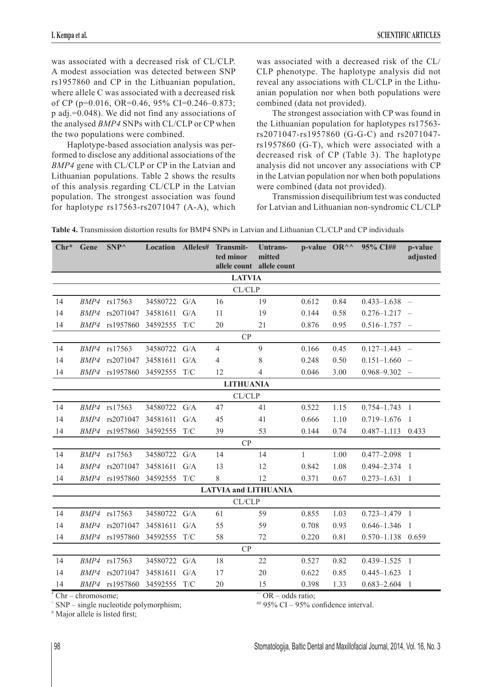was associated with a decreased risk of CL/CLP. A modest association was detected between SNP rs1957860 and CP in the Lithuanian population, where allele C was associated with a decreased risk of CP ( $p=0.016$ , OR=0.46, 95% CI=0.246-0.873; p adj.=0.048). We did not find any associations of the analysed *BMP4* SNPs with CL/CLP or CP when the two populations were combined.

Haplotype-based association analysis was performed to disclose any additional associations of the *BMP4* gene with CL/CLP or CP in the Latvian and Lithuanian populations. Table 2 shows the results of this analysis regarding CL/CLP in the Latvian population. The strongest association was found for haplotype rs17563-rs2071047 (A-A), which

was associated with a decreased risk of the CL/ CLP phenotype. The haplotype analysis did not reveal any associations with CL/CLP in the Lithuanian population nor when both populations were combined (data not provided).

The strongest association with CP was found in the Lithuanian population for haplotypes rs17563 rs2071047-rs1957860 (G-G-C) and rs2071047 rs1957860 (G-T), which were associated with a decreased risk of CP (Table 3). The haplotype analysis did not uncover any associations with CP in the Latvian population nor when both populations were combined (data not provided).

Transmission disequilibrium test was conducted for Latvian and Lithuanian non-syndromic CL/CLP

| $Chr^*$                   | Gene | $SNP^{\wedge}$                 | <b>Location Alleles#</b> |     | Transmit-<br>ted minor      | Untrans-<br>mitted |              |      | p-value $OR^{\wedge\wedge}$ 95% CI## | p-value<br>adjusted |
|---------------------------|------|--------------------------------|--------------------------|-----|-----------------------------|--------------------|--------------|------|--------------------------------------|---------------------|
| allele count allele count |      |                                |                          |     |                             |                    |              |      |                                      |                     |
| <b>LATVIA</b><br>CL/CLP   |      |                                |                          |     |                             |                    |              |      |                                      |                     |
|                           |      |                                |                          |     |                             | 19                 |              |      |                                      |                     |
| 14                        |      | BMP4 rs17563<br>BMP4 rs2071047 | 34580722 G/A             | G/A | 16                          |                    | 0.612        | 0.84 | $0.433 - 1.638 -$                    |                     |
| 14                        |      |                                | 34581611                 |     | 11                          | 19                 | 0.144        | 0.58 | $0.276 - 1.217 -$                    |                     |
| 14                        |      | BMP4 rs1957860                 | 34592555                 | T/C | 20                          | 21                 | 0.876        | 0.95 | $0.516 - 1.757 -$                    |                     |
| CP                        |      |                                |                          |     |                             |                    |              |      |                                      |                     |
| 14                        |      | BMP4 rs17563                   | 34580722                 | G/A | $\overline{4}$              | 9                  | 0.166        | 0.45 | $0.127 - 1.443 -$                    |                     |
| 14                        |      | BMP4 rs2071047                 | 34581611                 | G/A | 4                           | 8                  | 0.248        | 0.50 | $0.151 - 1.660 -$                    |                     |
| 14                        |      | BMP4 rs1957860                 | 34592555 T/C             |     | 12                          | 4                  | 0.046        | 3.00 | $0.968 - 9.302 -$                    |                     |
| <b>LITHUANIA</b>          |      |                                |                          |     |                             |                    |              |      |                                      |                     |
| CL/CLP                    |      |                                |                          |     |                             |                    |              |      |                                      |                     |
| 14                        |      | BMP4 rs17563                   | 34580722                 | G/A | 47                          | 41                 | 0.522        | 1.15 | $0.754 - 1.743$ 1                    |                     |
| 14                        |      | BMP4 rs2071047                 | 34581611                 | G/A | 45                          | 41                 | 0.666        | 1.10 | $0.719 - 1.676$                      | $\overline{1}$      |
| 14                        |      | BMP4 rs1957860                 | 34592555                 | T/C | 39                          | 53                 | 0.144        | 0.74 | $0.487 - 1.113$ 0.433                |                     |
|                           |      |                                |                          |     | CP                          |                    |              |      |                                      |                     |
| 14                        |      | BMP4 rs17563                   | 34580722                 | G/A | 14                          | 14                 | $\mathbf{1}$ | 1.00 | $0.477 - 2.098$ 1                    |                     |
| 14                        |      | BMP4 rs2071047                 | 34581611                 | G/A | 13                          | 12                 | 0.842        | 1.08 | $0.494 - 2.374$ 1                    |                     |
| 14                        |      | BMP4 rs1957860                 | 34592555                 | T/C | 8                           | 12                 | 0.371        | 0.67 | $0.273 - 1.631$                      | $\overline{1}$      |
|                           |      |                                |                          |     | <b>LATVIA and LITHUANIA</b> |                    |              |      |                                      |                     |
| CL/CLP                    |      |                                |                          |     |                             |                    |              |      |                                      |                     |
| 14                        |      | BMP4 rs17563                   | 34580722                 | G/A | 61                          | 59                 | 0.855        | 1.03 | $0.723 - 1.479$ 1                    |                     |
| 14                        |      | BMP4 rs2071047                 | 34581611                 | G/A | 55                          | 59                 | 0.708        | 0.93 | $0.646 - 1.346$                      | $\overline{1}$      |
| 14                        |      | BMP4 rs1957860                 | 34592555                 | T/C | 58                          | 72                 | 0.220        | 0.81 | $0.570 - 1.138$ 0.659                |                     |
| CP                        |      |                                |                          |     |                             |                    |              |      |                                      |                     |
| 14                        |      | BMP4 rs17563                   | 34580722                 | G/A | 18                          | 22                 | 0.527        | 0.82 | $0.439 - 1.525$ 1                    |                     |
| 14                        |      | BMP4 rs2071047                 | 34581611                 | G/A | 17                          | 20                 | 0.622        | 0.85 | $0.445 - 1.623$                      | $\overline{1}$      |
| 14                        |      | BMP4 rs1957860                 | 34592555 T/C             |     | 20                          | 15                 | 0.398        | 1.33 | $0.683 - 2.604$ 1                    |                     |

**Table 4.** Transmission distortion results for BMP4 SNPs in Latvian and Lithuanian CL/CLP and CP individuals

\* Chr – chromosome;

 $^{\circ\circ}$  OR – odds ratio;

 $# 95\%$  CI – 95% confidence interval.

^ SNP – single nucleotide polymorphism;

# Major allele is listed first;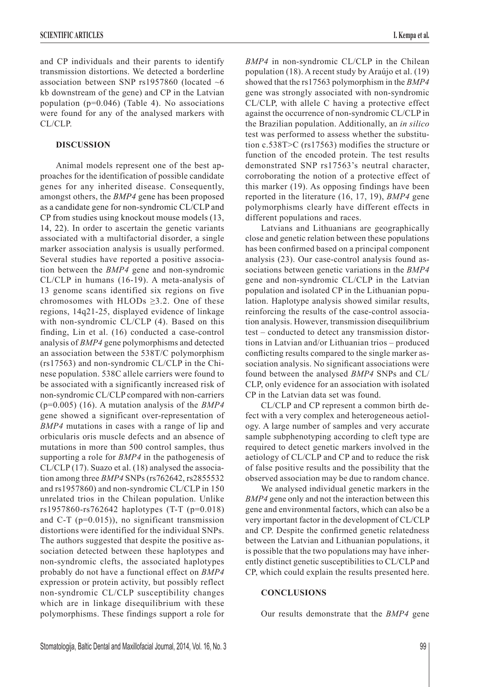and CP individuals and their parents to identify transmission distortions. We detected a borderline association between SNP rs1957860 (located  $~6$ kb downstream of the gene) and CP in the Latvian population (p=0.046) (Table 4). No associations were found for any of the analysed markers with CL/CLP.

## **DISCUSSION**

Animal models represent one of the best approaches for the identification of possible candidate genes for any inherited disease. Consequently, amongst others, the *BMP4* gene has been proposed as a candidate gene for non-syndromic CL/CLP and CP from studies using knockout mouse models (13, 14, 22). In order to ascertain the genetic variants associated with a multifactorial disorder, a single marker association analysis is usually performed. Several studies have reported a positive association between the *BMP4* gene and non-syndromic CL/CLP in humans (16-19). A meta-analysis of 13 genome scans identified six regions on five chromosomes with HLODs  $\geq$ 3.2. One of these regions, 14q21-25, displayed evidence of linkage with non-syndromic CL/CLP (4). Based on this finding, Lin et al. (16) conducted a case-control analysis of *BMP4* gene polymorphisms and detected an association between the 538T/C polymorphism (rs17563) and non-syndromic CL/CLP in the Chinese population. 538C allele carriers were found to be associated with a significantly increased risk of non-syndromic CL/CLP compared with non-carriers (p=0.005) (16). A mutation analysis of the *BMP4* gene showed a significant over-representation of *BMP4* mutations in cases with a range of lip and orbicularis oris muscle defects and an absence of mutations in more than 500 control samples, thus supporting a role for *BMP4* in the pathogenesis of CL/CLP (17). Suazo et al. (18) analysed the association among three *BMP4* SNPs (rs762642, rs2855532 and rs1957860) and non-syndromic CL/CLP in 150 unrelated trios in the Chilean population. Unlike rs1957860-rs762642 haplotypes (T-T (p=0.018) and C-T (p=0.015)), no significant transmission distortions were identified for the individual SNPs. The authors suggested that despite the positive association detected between these haplotypes and non-syndromic clefts, the associated haplotypes probably do not have a functional effect on *BMP4* expression or protein activity, but possibly reflect non-syndromic CL/CLP susceptibility changes which are in linkage disequilibrium with these polymorphisms. These findings support a role for

*BMP4* in non-syndromic CL/CLP in the Chilean population (18). A recent study by Araújo et al. (19) showed that the rs17563 polymorphism in the *BMP4* gene was strongly associated with non-syndromic CL/CLP, with allele C having a protective effect against the occurrence of non-syndromic CL/CLP in the Brazilian population. Additionally, an *in silico* test was performed to assess whether the substitution c.538T>C (rs17563) modifies the structure or function of the encoded protein. The test results demonstrated SNP rs17563's neutral character, corroborating the notion of a protective effect of this marker (19). As opposing findings have been reported in the literature (16, 17, 19), *BMP4* gene polymorphisms clearly have different effects in different populations and races.

Latvians and Lithuanians are geographically close and genetic relation between these populations has been confirmed based on a principal component analysis (23). Our case-control analysis found associations between genetic variations in the *BMP4* gene and non-syndromic CL/CLP in the Latvian population and isolated CP in the Lithuanian population. Haplotype analysis showed similar results, reinforcing the results of the case-control association analysis. However, transmission disequilibrium test – conducted to detect any transmission distortions in Latvian and/or Lithuanian trios – produced conflicting results compared to the single marker association analysis. No significant associations were found between the analysed *BMP4* SNPs and CL/ CLP, only evidence for an association with isolated CP in the Latvian data set was found.

CL/CLP and CP represent a common birth defect with a very complex and heterogeneous aetiology. A large number of samples and very accurate sample subphenotyping according to cleft type are required to detect genetic markers involved in the aetiology of CL/CLP and CP and to reduce the risk of false positive results and the possibility that the observed association may be due to random chance.

We analysed individual genetic markers in the *BMP4* gene only and not the interaction between this gene and environmental factors, which can also be a very important factor in the development of CL/CLP and CP. Despite the confirmed genetic relatedness between the Latvian and Lithuanian populations, it is possible that the two populations may have inherently distinct genetic susceptibilities to CL/CLP and CP, which could explain the results presented here.

#### **CONCLUSIONS**

Our results demonstrate that the *BMP4* gene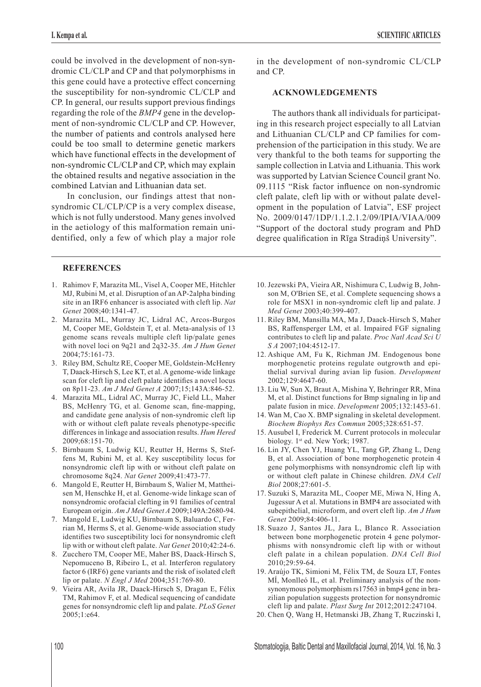could be involved in the development of non-syndromic CL/CLP and CP and that polymorphisms in this gene could have a protective effect concerning the susceptibility for non-syndromic CL/CLP and CP. In general, our results support previous findings regarding the role of the *BMP4* gene in the development of non-syndromic CL/CLP and CP. However, the number of patients and controls analysed here could be too small to determine genetic markers which have functional effects in the development of non-syndromic CL/CLP and CP, which may explain the obtained results and negative association in the combined Latvian and Lithuanian data set.

In conclusion, our findings attest that nonsyndromic CL/CLP/CP is a very complex disease, which is not fully understood. Many genes involved in the aetiology of this malformation remain unidentified, only a few of which play a major role

# **REFERENCES**

- 1. Rahimov F, Marazita ML, Visel A, Cooper ME, Hitchler MJ, Rubini M, et al. Disruption of an AP-2alpha binding site in an IRF6 enhancer is associated with cleft lip. *Nat Genet* 2008;40:1341-47.
- 2. Marazita ML, Murray JC, Lidral AC, Arcos-Burgos M, Cooper ME, Goldstein T, et al. Meta-analysis of 13 genome scans reveals multiple cleft lip/palate genes with novel loci on 9q21 and 2q32-35. *Am J Hum Genet* 2004;75:161-73.
- 3. Riley BM, Schultz RE, Cooper ME, Goldstein-McHenry T, Daack-Hirsch S, Lee KT, et al. A genome-wide linkage scan for cleft lip and cleft palate identifies a novel locus on 8p11-23. *Am J Med Genet A* 2007;15;143A:846-52.
- 4. Marazita ML, Lidral AC, Murray JC, Field LL, Maher BS, McHenry TG, et al. Genome scan, fine-mapping, and candidate gene analysis of non-syndromic cleft lip with or without cleft palate reveals phenotype-specific differences in linkage and association results. *Hum Hered* 2009;68:151-70.
- 5. Birnbaum S, Ludwig KU, Reutter H, Herms S, Steffens M, Rubini M, et al. Key susceptibility locus for nonsyndromic cleft lip with or without cleft palate on chromosome 8q24. *Nat Genet* 2009;41:473-77.
- 6. Mangold E, Reutter H, Birnbaum S, Walier M, Mattheisen M, Henschke H, et al. Genome-wide linkage scan of nonsyndromic orofacial clefting in 91 families of central European origin. *Am J Med Genet A* 2009;149A:2680-94.
- 7. Mangold E, Ludwig KU, Birnbaum S, Baluardo C, Ferrian M, Herms S, et al. Genome-wide association study identifies two susceptibility loci for nonsyndromic cleft lip with or without cleft palate. *Nat Genet* 2010;42:24-6.
- 8. Zucchero TM, Cooper ME, Maher BS, Daack-Hirsch S, Nepomuceno B, Ribeiro L, et al. Interferon regulatory factor 6 (IRF6) gene variants and the risk of isolated cleft lip or palate. *N Engl J Med* 2004;351:769-80.
- 9. Vieira AR, Avila JR, Daack-Hirsch S, Dragan E, Félix TM, Rahimov F, et al. Medical sequencing of candidate genes for nonsyndromic cleft lip and palate. *PLoS Genet* 2005;1:e64.

in the development of non-syndromic CL/CLP and CP.

# **ACKNOWLEDGEMENTS**

The authors thank all individuals for participating in this research project especially to all Latvian and Lithuanian CL/CLP and CP families for comprehension of the participation in this study. We are very thankful to the both teams for supporting the sample collection in Latvia and Lithuania. This work was supported by Latvian Science Council grant No. 09.1115 "Risk factor influence on non-syndromic cleft palate, cleft lip with or without palate development in the population of Latvia", ESF project No. 2009/0147/1DP/1.1.2.1.2/09/IPIA/VIAA/009 "Support of the doctoral study program and PhD degree qualification in Rīga Stradiņš University".

- 10. Jezewski PA, Vieira AR, Nishimura C, Ludwig B, Johnson M, O'Brien SE, et al. Complete sequencing shows a role for MSX1 in non-syndromic cleft lip and palate. J *Med Genet* 2003;40:399-407.
- 11. Riley BM, Mansilla MA, Ma J, Daack-Hirsch S, Maher BS, Raffensperger LM, et al. Impaired FGF signaling contributes to cleft lip and palate. *Proc Natl Acad Sci U S A* 2007;104:4512-17.
- 12. Ashique AM, Fu K, Richman JM. Endogenous bone morphogenetic proteins regulate outgrowth and epithelial survival during avian lip fusion. *Development* 2002;129:4647-60.
- 13. Liu W, Sun X, Braut A, Mishina Y, Behringer RR, Mina M, et al. Distinct functions for Bmp signaling in lip and palate fusion in mice. *Development* 2005;132:1453-61.
- 14. Wan M, Cao X. BMP signaling in skeletal development. *Biochem Biophys Res Commun* 2005;328:651-57.
- 15. Ausubel I, Frederick M. Current protocols in molecular biology. 1<sup>st</sup> ed. New York; 1987.
- 16. Lin JY, Chen YJ, Huang YL, Tang GP, Zhang L, Deng B, et al. Association of bone morphogenetic protein 4 gene polymorphisms with nonsyndromic cleft lip with or without cleft palate in Chinese children. *DNA Cell Biol* 2008;27:601-5.
- 17. Suzuki S, Marazita ML, Cooper ME, Miwa N, Hing A, Jugessur A et al. Mutations in BMP4 are associated with subepithelial, microform, and overt cleft lip. *Am J Hum Genet* 2009;84:406-11.
- 18. Suazo J, Santos JL, Jara L, Blanco R. Association between bone morphogenetic protein 4 gene polymorphisms with nonsyndromic cleft lip with or without cleft palate in a chilean population. *DNA Cell Biol* 2010;29:59-64.
- 19. Araújo TK, Simioni M, Félix TM, de Souza LT, Fontes MÍ, Monlleó IL, et al. Preliminary analysis of the nonsynonymous polymorphism rs17563 in bmp4 gene in brazilian population suggests protection for nonsyndromic cleft lip and palate. *Plast Surg Int* 2012;2012:247104.
- 20. Chen Q, Wang H, Hetmanski JB, Zhang T, Ruczinski I,